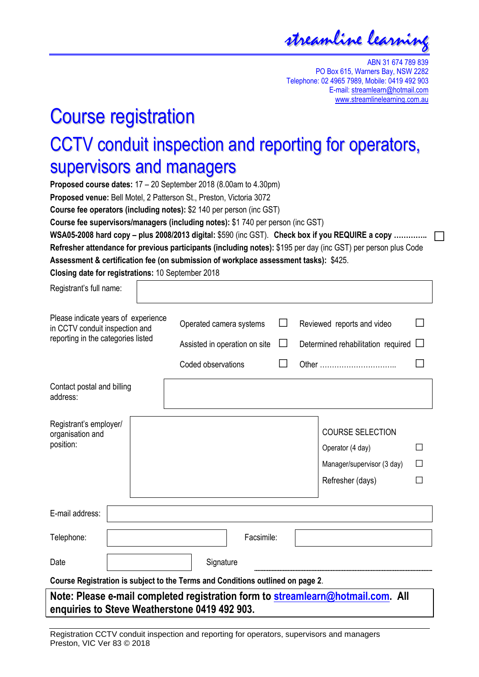streamline learning

ABN 31 674 789 839 PO Box 615, Warners Bay, NSW 2282 Telephone: 02 4965 7989, Mobile: 0419 492 903 E-mail: streamlearn@hotmail.com www.streamlinelearning.com.au

## Course registration

## CCTV conduit inspection and reporting for operators, supervisors and managers

**Proposed course dates:** 17 – 20 September 2018 (8.00am to 4.30pm) **Proposed venue:** Bell Motel, 2 Patterson St., Preston, Victoria 3072 **Course fee operators (including notes):** \$2 140 per person (inc GST) **Course fee supervisors/managers (including notes):** \$1 740 per person (inc GST) **WSA05-2008 hard copy – plus 2008/2013 digital:** \$590 (inc GST). **Check box if you REQUIRE a copy ………….. □Refresher attendance for previous participants (including notes):** \$195 per day (inc GST) per person plus Code **Assessment & certification fee (on submission of workplace assessment tasks):** \$425.

**Closing date for registrations:** 10 September 2018

| Registrant's full name:                                                                                     |  |                               |            |              |                                    |   |  |
|-------------------------------------------------------------------------------------------------------------|--|-------------------------------|------------|--------------|------------------------------------|---|--|
| Please indicate years of experience<br>in CCTV conduit inspection and<br>reporting in the categories listed |  | Operated camera systems       |            | $\mathsf{L}$ | Reviewed reports and video         |   |  |
|                                                                                                             |  | Assisted in operation on site |            | $\Box$       | Determined rehabilitation required |   |  |
|                                                                                                             |  | Coded observations            |            | $\mathsf{L}$ |                                    |   |  |
| Contact postal and billing<br>address:                                                                      |  |                               |            |              |                                    |   |  |
| Registrant's employer/<br>organisation and                                                                  |  |                               |            |              | <b>COURSE SELECTION</b>            |   |  |
| position:                                                                                                   |  |                               |            |              | Operator (4 day)                   |   |  |
|                                                                                                             |  |                               |            |              | Manager/supervisor (3 day)         | П |  |
|                                                                                                             |  |                               |            |              | Refresher (days)                   |   |  |
| E-mail address:                                                                                             |  |                               |            |              |                                    |   |  |
| Telephone:                                                                                                  |  |                               | Facsimile: |              |                                    |   |  |
| Date                                                                                                        |  | Signature                     |            |              |                                    |   |  |
| Course Registration is subject to the Terms and Conditions outlined on page 2.                              |  |                               |            |              |                                    |   |  |
| Note: Please e-mail completed registration form to streamlearn@hotmail.com. All                             |  |                               |            |              |                                    |   |  |

**enquiries to Steve Weatherstone 0419 492 903.**